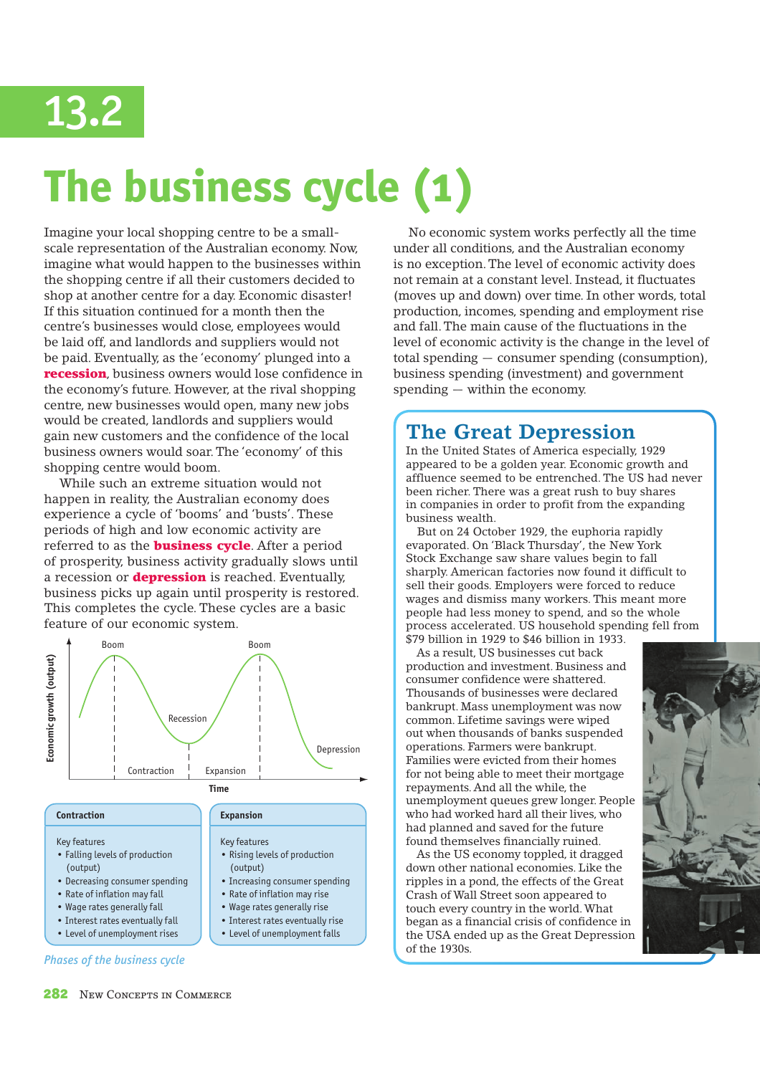

# **The business cycle (1)**

Imagine your local shopping centre to be a smallscale representation of the Australian economy. Now, imagine what would happen to the businesses within the shopping centre if all their customers decided to shop at another centre for a day. Economic disaster! If this situation continued for a month then the centre's businesses would close, employees would be laid off, and landlords and suppliers would not be paid. Eventually, as the 'economy' plunged into a recession, business owners would lose confidence in the economy's future. However, at the rival shopping centre, new businesses would open, many new jobs would be created, landlords and suppliers would gain new customers and the confidence of the local business owners would soar. The 'economy' of this shopping centre would boom.

While such an extreme situation would not happen in reality, the Australian economy does experience a cycle of 'booms' and 'busts'. These periods of high and low economic activity are referred to as the **business cycle**. After a period of prosperity, business activity gradually slows until a recession or **depression** is reached. Eventually, business picks up again until prosperity is restored. This completes the cycle. These cycles are a basic feature of our economic system.



• Interest rates eventually rise • Level of unemployment falls

- Wage rates generally fall
- Interest rates eventually fall
- Level of unemployment rises

No economic system works perfectly all the time under all conditions, and the Australian economy is no exception. The level of economic activity does not remain at a constant level. Instead, it fluctuates (moves up and down) over time. In other words, total production, incomes, spending and employment rise and fall. The main cause of the fluctuations in the level of economic activity is the change in the level of total spending — consumer spending (consumption), business spending (investment) and government spending — within the economy.

## **The Great Depression**

In the United States of America especially, 1929 appeared to be a golden year. Economic growth and affluence seemed to be entrenched. The US had never been richer. There was a great rush to buy shares in companies in order to profit from the expanding business wealth.

 But on 24 October 1929, the euphoria rapidly evaporated. On 'Black Thursday', the New York Stock Exchange saw share values begin to fall sharply. American factories now found it difficult to sell their goods. Employers were forced to reduce wages and dismiss many workers. This meant more people had less money to spend, and so the whole process accelerated. US household spending fell from \$79 billion in 1929 to \$46 billion in 1933.

 As a result, US businesses cut back production and investment. Business and consumer confidence were shattered. Thousands of businesses were declared bankrupt. Mass unemployment was now common. Lifetime savings were wiped out when thousands of banks suspended operations. Farmers were bankrupt. Families were evicted from their homes for not being able to meet their mortgage repayments. And all the while, the unemployment queues grew longer. People who had worked hard all their lives, who had planned and saved for the future found themselves financially ruined.

 As the US economy toppled, it dragged down other national economies. Like the ripples in a pond, the effects of the Great Crash of Wall Street soon appeared to touch every country in the world. What began as a financial crisis of confidence in the USA ended up as the Great Depression of the 1930s.



*Phases of the business cycle*